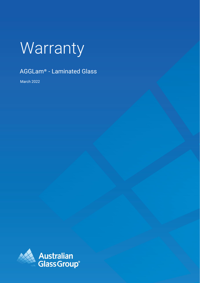# Warranty

## AGGLam® - Laminated Glass

March 2022

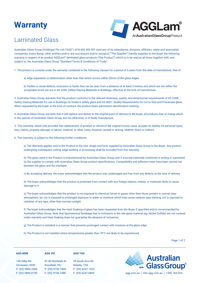# **Warranty**



### Laminated Glass

Australian Glass Group (Holdings) Pty Ltd ("AGG") ACN 603 493 901 (and any of its subsidiaries, divisions, affiliates, relate and associated companies, trusts & amp; other entities and/or any successors and/or assigns) ("The Supplier") hereby supplies to the Buyer the following warranty in respect of its product [AGGLam](https://agg.com.au/products/agglam/)® laminated glass products ("the Product") which is to be read at all times together with, and subject to, the Australian Glass Group "Standard Terms & Conditions of Trade".

1. The product is covered under the warranty contained in the following clauses for a period of 5 years from the date of manufacture, free of:

a) edge separation or delamination other than that which occurs within 20mm of the glass edges

b) Visible or visual defects, inclusions or faults that can be seen from a distance of at least 3 metres and which are not within the acceptable limits set out in AS 2208: Safety Glazing Materials in Buildings, effective at the time of manufacture.

3. Australian Glass Group warrants that the product conforms to the relevant thickness, quality, and dimensional requirements of AS 2208: Safety Glazing Materials for use in Buildings for Grade A safety glass and AS 4667: Quality Requirements for Cut to Size and Processed glass. When requested by the buyer at the time of contract, the product bears permanent identification marking.

4. Australian Glass Group warrants that it will replace and deliver to the original point of delivery to the buyer, all products free of charge which in the opinion of Australian Glass Group, but not otherwise, is of faulty manufacture.

5. This warranty, which only provides free replacement of product or refund of the original invoice value, accepts no liability for personal injury, loss, claims, property damage, or labour, material, or other costs, however caused or arising, whether direct or indirect.

6. This warranty is subject to the following further conditions:

a) The Warranty applies only to the Product in the size, shape and form supplied by Australian Glass Group to the Buyer. Any product undergoing subsequent cutting, edge-working or processing shall be excluded from this warranty.

b) The glass used in the Product is manufactured by Australian Glass Group, and if sourced externally confirmed in writing or warranted by the supplier to comply with Australian Glass Group product specifications. Compatibility and adhesion tests have been carried out between the glass and the interlayer.

c) By accepting delivery, the buyer acknowledges that the product was undamaged and free from any defects at the time of delivery.

d) The buyer acknowledges that the product is protected from contact with any foreign objects, metals, or materials likely to cause damage to it.

e) The buyer acknowledges that the product is not exposed to chemical fumes or gases other than those present in normal clear atmospheric air, nor is exposed to prolonged exposure to water or moisture which may cause rainbow type staining, nor is exposed to radiation of any type, other than normal sunlight.

f) The buyer acknowledges that the Heat Soaking of glass has been requested from the Buyer if specified and/or recommended by Australian Glass Group. Note that Spontaneous Breakage due to inclusions in the raw glass material (eg. Nickel Sulfide) are not covered under warranty and Heat Soaking does not guarantee the absence of inclusions.

g) The Product is installed in a manner that prevents prolonged contact with moisture at the glass edge.

h) The Product is not installed where temperatures greater than 70°C are likely to be experienced.

**AGG TAS**

Page 1 of 2

| <b>AGG NSW</b> |  |
|----------------|--|
|                |  |

#### **AGG VIC**

140 Gilba Rd Girraween, NSW P: (02) 9896 0566 F: (02) 9896 0190

81-83 Rushdale St Knoxfield, VIC P: (03) 9730 7400 F: (03) 9730 7488

39 South Arm Rd Rokeby, TAS P: (03) 6247 1625



F: (03) 6247 6843 [agg.com.au](https://agg.com.au/) | info.agg.com.au | 1300 768 024